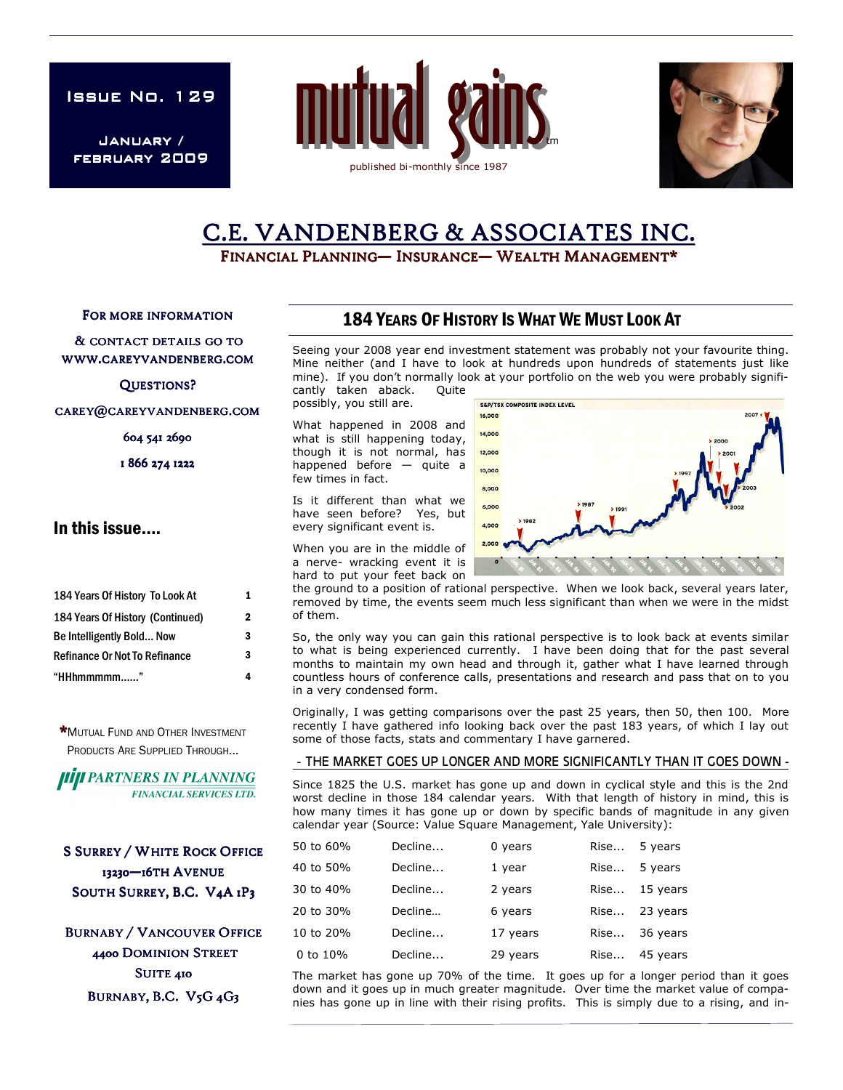**ISSUE NO. 129** 

January / FEBRUARY 2009





# C.E. VANDENBERG & ASSOCIATES INC.

FINANCIAL PLANNING— INSURANCE— WEALTH MANAGEMENT\*

FOR MORE INFORMATION

& CONTACT DETAILS GO TO WWW.CAREYVANDENBERG.COM

### QUESTIONS?

CAREY@CAREYVANDENBERG.COM

604 541 2690

1 866 274 1222

## In this issue….

| 184 Years Of History To Look At      | 1 |
|--------------------------------------|---|
| 184 Years Of History (Continued)     | 2 |
| Be Intelligently Bold Now            | 3 |
| <b>Refinance Or Not To Refinance</b> | 3 |
| "HHhmmmmm"                           |   |

\*MUTUAL FUND AND OTHER INVESTMENT PRODUCTS ARE SUPPLIED THROUGH...



**S SURREY / WHITE ROCK OFFICE** 13230-16TH AVENUE SOUTH SURREY, B.C. V4A 1P3

**BURNABY / VANCOUVER OFFICE** 4400 DOMINION STREET SUITE 410 BURNABY, B.C. V5G 4G3

## 184 YEARS OF HISTORY IS WHAT WE MUST LOOK AT

Seeing your 2008 year end investment statement was probably not your favourite thing. Mine neither (and I have to look at hundreds upon hundreds of statements just like mine). If you don't normally look at your portfolio on the web you were probably significantly taken aback. Quite

possibly, you still are.

What happened in 2008 and what is still happening today, though it is not normal, has happened before — quite a few times in fact.

Is it different than what we have seen before? Yes, but every significant event is.

When you are in the middle of a nerve- wracking event it is hard to put your feet back on

the ground to a position of rational perspective. When we look back, several years later, removed by time, the events seem much less significant than when we were in the midst of them.

So, the only way you can gain this rational perspective is to look back at events similar to what is being experienced currently. I have been doing that for the past several months to maintain my own head and through it, gather what I have learned through countless hours of conference calls, presentations and research and pass that on to you in a very condensed form.

Originally, I was getting comparisons over the past 25 years, then 50, then 100. More recently I have gathered info looking back over the past 183 years, of which I lay out some of those facts, stats and commentary I have garnered.

#### - THE MARKET GOES UP LONGER AND MORE SIGNIFICANTLY THAN IT GOES DOWN -

Since 1825 the U.S. market has gone up and down in cyclical style and this is the 2nd worst decline in those 184 calendar years. With that length of history in mind, this is how many times it has gone up or down by specific bands of magnitude in any given calendar year (Source: Value Square Management, Yale University):

| 50 to 60% | Decline | 0 years  | Rise | 5 years       |
|-----------|---------|----------|------|---------------|
| 40 to 50% | Decline | 1 year   | Rise | 5 years       |
| 30 to 40% | Decline | 2 years  |      | Rise 15 years |
| 20 to 30% | Decline | 6 years  |      | Rise 23 years |
| 10 to 20% | Decline | 17 years | Rise | 36 years      |
| 0 to 10%  | Decline | 29 years | Rise | 45 years      |

The market has gone up 70% of the time. It goes up for a longer period than it goes down and it goes up in much greater magnitude. Over time the market value of companies has gone up in line with their rising profits. This is simply due to a rising, and in-

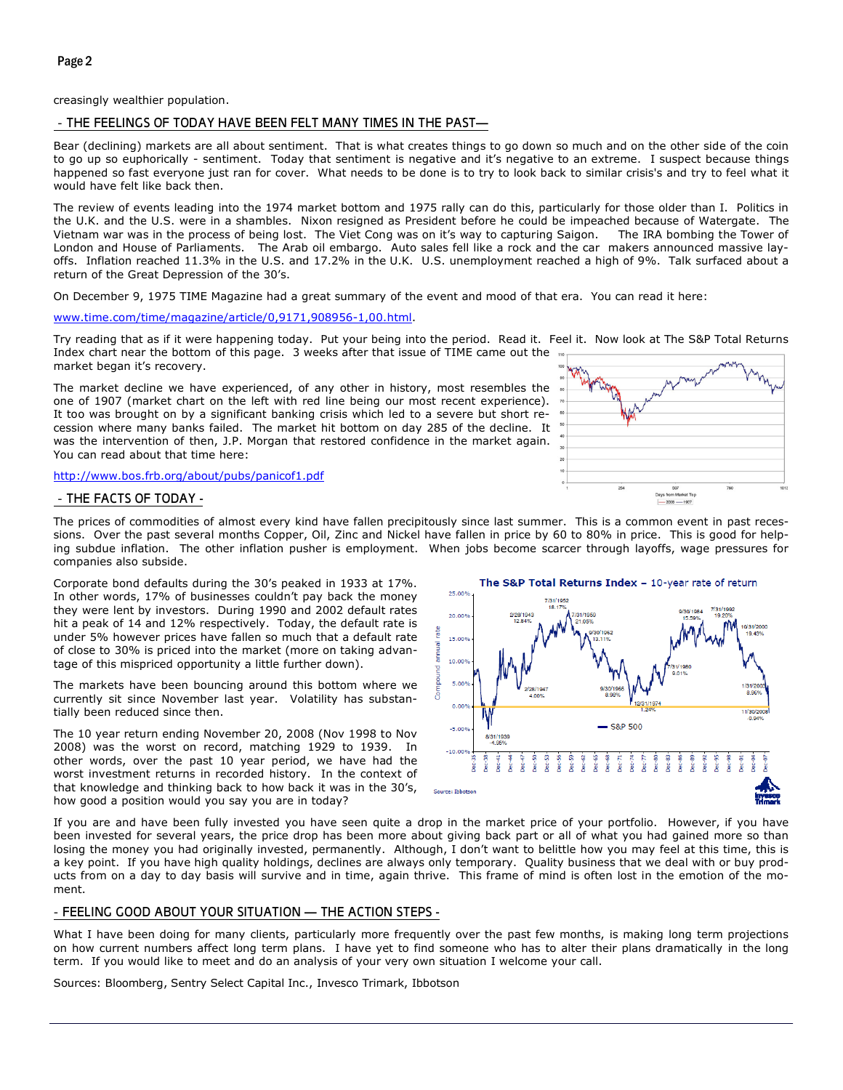creasingly wealthier population.

#### - THE FEELINGS OF TODAY HAVE BEEN FELT MANY TIMES IN THE PAST—

Bear (declining) markets are all about sentiment. That is what creates things to go down so much and on the other side of the coin to go up so euphorically - sentiment. Today that sentiment is negative and it's negative to an extreme. I suspect because things happened so fast everyone just ran for cover. What needs to be done is to try to look back to similar crisis's and try to feel what it would have felt like back then.

The review of events leading into the 1974 market bottom and 1975 rally can do this, particularly for those older than I. Politics in the U.K. and the U.S. were in a shambles. Nixon resigned as President before he could be impeached because of Watergate. The<br>Vietnam war was in the process of being lost. The Viet Cong was on it's way to capturing Saigon. Vietnam war was in the process of being lost. The Viet Cong was on it's way to capturing Saigon. London and House of Parliaments. The Arab oil embargo. Auto sales fell like a rock and the car makers announced massive layoffs. Inflation reached 11.3% in the U.S. and 17.2% in the U.K. U.S. unemployment reached a high of 9%. Talk surfaced about a return of the Great Depression of the 30's.

On December 9, 1975 TIME Magazine had a great summary of the event and mood of that era. You can read it here:

www.time.com/time/magazine/article/0,9171,908956-1,00.html.

Try reading that as if it were happening today. Put your being into the period. Read it. Feel it. Now look at The S&P Total Returns Index chart near the bottom of this page. 3 weeks after that issue of TIME came out the market began it's recovery.

The market decline we have experienced, of any other in history, most resembles the one of 1907 (market chart on the left with red line being our most recent experience). It too was brought on by a significant banking crisis which led to a severe but short recession where many banks failed. The market hit bottom on day 285 of the decline. It was the intervention of then, J.P. Morgan that restored confidence in the market again. You can read about that time here:

http://www.bos.frb.org/about/pubs/panicof1.pdf



The prices of commodities of almost every kind have fallen precipitously since last summer. This is a common event in past recessions. Over the past several months Copper, Oil, Zinc and Nickel have fallen in price by 60 to 80% in price. This is good for helping subdue inflation. The other inflation pusher is employment. When jobs become scarcer through layoffs, wage pressures for companies also subside.

Corporate bond defaults during the 30's peaked in 1933 at 17%. In other words, 17% of businesses couldn't pay back the money they were lent by investors. During 1990 and 2002 default rates hit a peak of 14 and 12% respectively. Today, the default rate is under 5% however prices have fallen so much that a default rate of close to 30% is priced into the market (more on taking advantage of this mispriced opportunity a little further down).

The markets have been bouncing around this bottom where we currently sit since November last year. Volatility has substantially been reduced since then.

The 10 year return ending November 20, 2008 (Nov 1998 to Nov 2008) was the worst on record, matching 1929 to 1939. In other words, over the past 10 year period, we have had the worst investment returns in recorded history. In the context of that knowledge and thinking back to how back it was in the 30's, how good a position would you say you are in today?



If you are and have been fully invested you have seen quite a drop in the market price of your portfolio. However, if you have been invested for several years, the price drop has been more about giving back part or all of what you had gained more so than losing the money you had originally invested, permanently. Although, I don't want to belittle how you may feel at this time, this is a key point. If you have high quality holdings, declines are always only temporary. Quality business that we deal with or buy products from on a day to day basis will survive and in time, again thrive. This frame of mind is often lost in the emotion of the moment.

#### - FEELING GOOD ABOUT YOUR SITUATION — THE ACTION STEPS -

What I have been doing for many clients, particularly more frequently over the past few months, is making long term projections on how current numbers affect long term plans. I have yet to find someone who has to alter their plans dramatically in the long term. If you would like to meet and do an analysis of your very own situation I welcome your call.

Sources: Bloomberg, Sentry Select Capital Inc., Invesco Trimark, Ibbotson

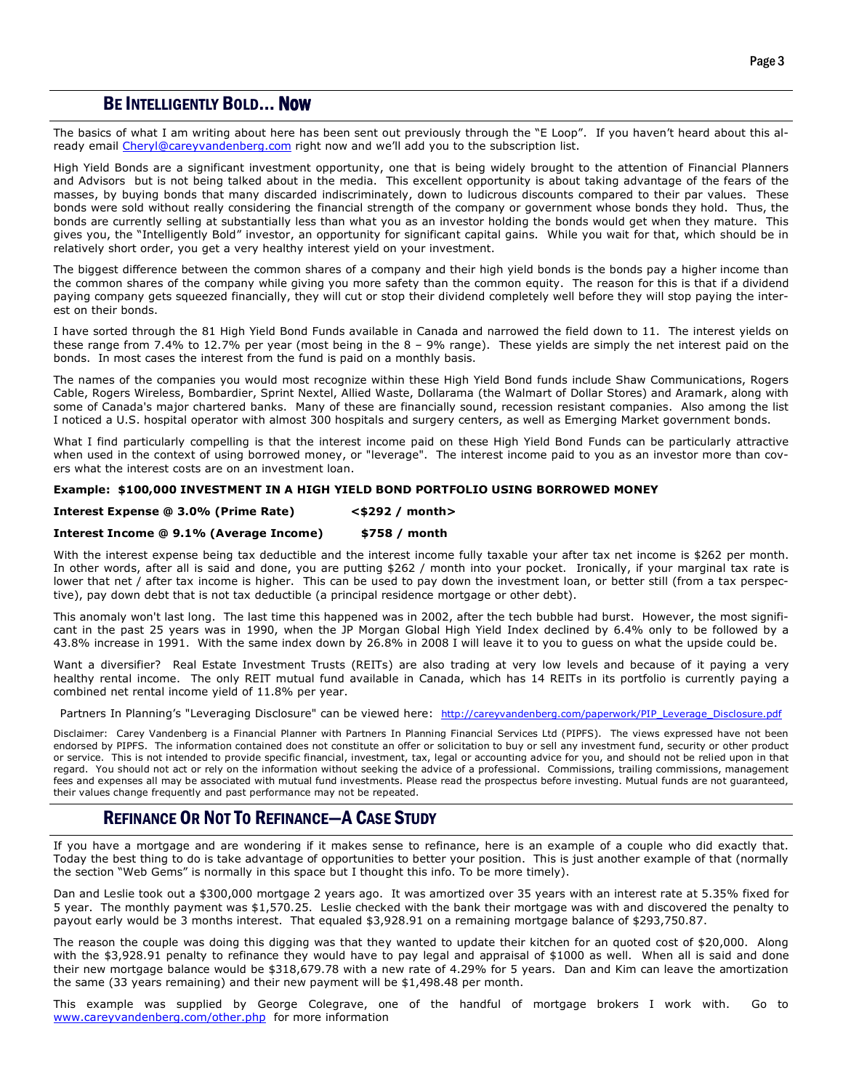## BE INTELLIGENTLY BOLD... NOW

The basics of what I am writing about here has been sent out previously through the "E Loop". If you haven't heard about this already email Cheryl@careyvandenberg.com right now and we'll add you to the subscription list.

High Yield Bonds are a significant investment opportunity, one that is being widely brought to the attention of Financial Planners and Advisors but is not being talked about in the media. This excellent opportunity is about taking advantage of the fears of the masses, by buying bonds that many discarded indiscriminately, down to ludicrous discounts compared to their par values. These bonds were sold without really considering the financial strength of the company or government whose bonds they hold. Thus, the bonds are currently selling at substantially less than what you as an investor holding the bonds would get when they mature. This gives you, the "Intelligently Bold" investor, an opportunity for significant capital gains. While you wait for that, which should be in relatively short order, you get a very healthy interest yield on your investment.

The biggest difference between the common shares of a company and their high yield bonds is the bonds pay a higher income than the common shares of the company while giving you more safety than the common equity. The reason for this is that if a dividend paying company gets squeezed financially, they will cut or stop their dividend completely well before they will stop paying the interest on their bonds.

I have sorted through the 81 High Yield Bond Funds available in Canada and narrowed the field down to 11. The interest yields on these range from 7.4% to 12.7% per year (most being in the  $8 - 9%$  range). These yields are simply the net interest paid on the bonds. In most cases the interest from the fund is paid on a monthly basis.

The names of the companies you would most recognize within these High Yield Bond funds include Shaw Communications, Rogers Cable, Rogers Wireless, Bombardier, Sprint Nextel, Allied Waste, Dollarama (the Walmart of Dollar Stores) and Aramark, along with some of Canada's major chartered banks. Many of these are financially sound, recession resistant companies. Also among the list I noticed a U.S. hospital operator with almost 300 hospitals and surgery centers, as well as Emerging Market government bonds.

What I find particularly compelling is that the interest income paid on these High Yield Bond Funds can be particularly attractive when used in the context of using borrowed money, or "leverage". The interest income paid to you as an investor more than covers what the interest costs are on an investment loan.

#### Example: \$100,000 INVESTMENT IN A HIGH YIELD BOND PORTFOLIO USING BORROWED MONEY

#### Interest Expense @ 3.0% (Prime Rate) <\$292 / month>

#### Interest Income @ 9.1% (Average Income) \$758 / month

With the interest expense being tax deductible and the interest income fully taxable your after tax net income is \$262 per month. In other words, after all is said and done, you are putting \$262 / month into your pocket. Ironically, if your marginal tax rate is lower that net / after tax income is higher. This can be used to pay down the investment loan, or better still (from a tax perspective), pay down debt that is not tax deductible (a principal residence mortgage or other debt).

This anomaly won't last long. The last time this happened was in 2002, after the tech bubble had burst. However, the most significant in the past 25 years was in 1990, when the JP Morgan Global High Yield Index declined by 6.4% only to be followed by a 43.8% increase in 1991. With the same index down by 26.8% in 2008 I will leave it to you to guess on what the upside could be.

Want a diversifier? Real Estate Investment Trusts (REITs) are also trading at very low levels and because of it paying a very healthy rental income. The only REIT mutual fund available in Canada, which has 14 REITs in its portfolio is currently paying a combined net rental income yield of 11.8% per year.

Partners In Planning's "Leveraging Disclosure" can be viewed here: http://careyvandenberg.com/paperwork/PIP\_Leverage\_Disclosure.pdf

Disclaimer: Carey Vandenberg is a Financial Planner with Partners In Planning Financial Services Ltd (PIPFS). The views expressed have not been endorsed by PIPFS. The information contained does not constitute an offer or solicitation to buy or sell any investment fund, security or other product or service. This is not intended to provide specific financial, investment, tax, legal or accounting advice for you, and should not be relied upon in that regard. You should not act or rely on the information without seeking the advice of a professional. Commissions, trailing commissions, management fees and expenses all may be associated with mutual fund investments. Please read the prospectus before investing. Mutual funds are not guaranteed, their values change frequently and past performance may not be repeated.

## REFINANCE OR NOT TO REFINANCE—A CASE STUDY

If you have a mortgage and are wondering if it makes sense to refinance, here is an example of a couple who did exactly that. Today the best thing to do is take advantage of opportunities to better your position. This is just another example of that (normally the section "Web Gems" is normally in this space but I thought this info. To be more timely).

Dan and Leslie took out a \$300,000 mortgage 2 years ago. It was amortized over 35 years with an interest rate at 5.35% fixed for 5 year. The monthly payment was \$1,570.25. Leslie checked with the bank their mortgage was with and discovered the penalty to payout early would be 3 months interest. That equaled \$3,928.91 on a remaining mortgage balance of \$293,750.87.

The reason the couple was doing this digging was that they wanted to update their kitchen for an quoted cost of \$20,000. Along with the \$3,928.91 penalty to refinance they would have to pay legal and appraisal of \$1000 as well. When all is said and done their new mortgage balance would be \$318,679.78 with a new rate of 4.29% for 5 years. Dan and Kim can leave the amortization the same (33 years remaining) and their new payment will be \$1,498.48 per month.

This example was supplied by George Colegrave, one of the handful of mortgage brokers I work with. Go to www.careyvandenberg.com/other.php for more information